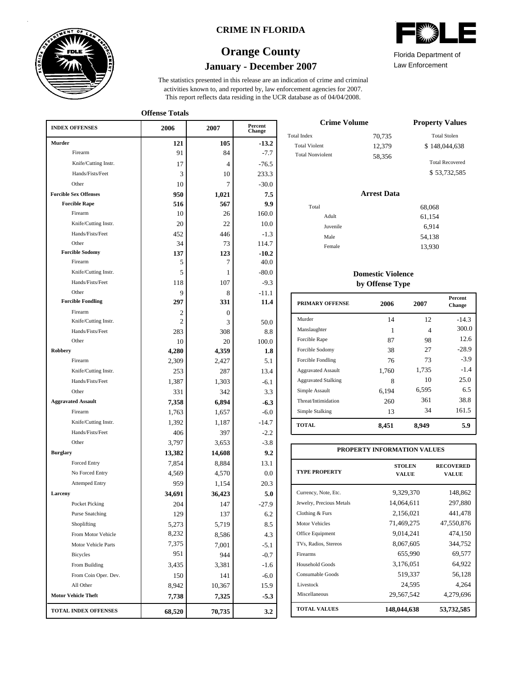

### **CRIME IN FLORIDA**

# **January - December 2007 Orange County**

This report reflects data residing in the UCR database as of 04/04/2008. activities known to, and reported by, law enforcement agencies for 2007. The statistics presented in this release are an indication of crime and criminal

**Offense Totals**

| <b>INDEX OFFENSES</b>        | 2006           | 2007          | Percent<br>Change |
|------------------------------|----------------|---------------|-------------------|
| Murder                       | 121            | 105           | $-13.2$           |
| Firearm                      | 91             | 84            | $-7.7$            |
| Knife/Cutting Instr.         | 17             | 4             | $-76.5$           |
| Hands/Fists/Feet             | 3              | 10            | 233.3             |
| Other                        | 10             | 7             | $-30.0$           |
| <b>Forcible Sex Offenses</b> | 950            | 1,021         | 7.5               |
| <b>Forcible Rape</b>         | 516            | 567           | 9.9               |
| Firearm                      | 10             | 26            | 160.0             |
| Knife/Cutting Instr.         | 20             | 22            | 10.0              |
| Hands/Fists/Feet             | 452            | 446           | $-1.3$            |
| Other                        | 34             | 73            | 114.7             |
| <b>Forcible Sodomy</b>       | 137            | 123           | $-10.2$           |
| Firearm                      | 5              | 7             | 40.0              |
| Knife/Cutting Instr.         | 5              | 1             | $-80.0$           |
| Hands/Fists/Feet             | 118            | 107           | $-9.3$            |
| Other                        | 9              | 8             | $-11.1$           |
| <b>Forcible Fondling</b>     | 297            | 331           | 11.4              |
| Firearm                      | 2              | $\mathbf{0}$  |                   |
| Knife/Cutting Instr.         | 2              | 3             | 50.0              |
| Hands/Fists/Feet<br>Other    | 283            | 308           | 8.8               |
| Robbery                      | 10<br>4,280    | 20<br>4,359   | 100.0<br>1.8      |
| Firearm                      | 2,309          | 2,427         | 5.1               |
| Knife/Cutting Instr.         | 253            | 287           | 13.4              |
| Hands/Fists/Feet             | 1,387          | 1,303         |                   |
| Other                        | 331            | 342           | $-6.1$<br>3.3     |
| <b>Aggravated Assault</b>    | 7,358          | 6,894         |                   |
| Firearm                      | 1,763          |               | $-6.3$<br>$-6.0$  |
| Knife/Cutting Instr.         |                | 1,657         | $-14.7$           |
| Hands/Fists/Feet             | 1,392<br>406   | 1,187<br>397  | $-2.2$            |
| Other                        | 3,797          |               | $-3.8$            |
| <b>Burglary</b>              |                | 3,653         |                   |
| <b>Forced Entry</b>          | 13,382         | 14,608        | 9.2<br>13.1       |
| No Forced Entry              | 7,854          | 8,884         |                   |
| <b>Attemped Entry</b>        | 4,569<br>959   | 4,570         | 0.0<br>20.3       |
| Larceny                      |                | 1,154         | 5.0               |
| Pocket Picking               | 34,691<br>204  | 36,423<br>147 |                   |
| <b>Purse Snatching</b>       |                |               | $-27.9$           |
| Shoplifting                  | 129            | 137           | 6.2<br>8.5        |
| From Motor Vehicle           | 5,273<br>8,232 | 5,719         |                   |
|                              | 7,375          | 8,586         | 4.3               |
| Motor Vehicle Parts          | 951            | 7,001         | $-5.1$            |
| <b>Bicycles</b>              |                | 944           | $-0.7$            |
| From Building                | 3,435          | 3,381         | $-1.6$            |
| From Coin Oper. Dev.         | 150            | 141           | $-6.0$            |
| All Other                    | 8,942          | 10,367        | 15.9              |
| <b>Motor Vehicle Theft</b>   | 7,738          | 7,325         | $-5.3$            |
| TOTAL INDEX OFFENSES         | 68,520         | 70,735        | 3.2               |

| WA<br>$\mathcal{U}^{\mu\nu}$ |
|------------------------------|
|                              |

Law Enforcement Florida Department of

| <b>Crime Volume</b>     | <b>Property Values</b> |                        |
|-------------------------|------------------------|------------------------|
| Total Index             | 70,735                 | <b>Total Stolen</b>    |
| <b>Total Violent</b>    | 12,379                 | \$148,044,638          |
| <b>Total Nonviolent</b> | 58.356                 | <b>Total Recovered</b> |
|                         |                        | \$53,732,585           |

### **Arrest Data**

| Total    | 68,068 |
|----------|--------|
| Adult    | 61,154 |
| Juvenile | 6,914  |
| Male     | 54,138 |
| Female   | 13,930 |
|          |        |

### **Domestic Violence by Offense Type**

| Murder<br>14<br>12<br>Manslaughter<br>1<br>4<br>Forcible Rape<br>87<br>98<br>27<br>Forcible Sodomy<br>38<br>73<br>Forcible Fondling<br>76<br>1,735<br><b>Aggravated Assault</b><br>1,760<br>10<br><b>Aggravated Stalking</b><br>8<br>6,595<br>Simple Assault<br>6,194<br>361<br>Threat/Intimidation<br>260<br>34<br>Simple Stalking<br>13<br><b>TOTAL</b><br>8,451<br>8.949 | <b>PRIMARY OFFENSE</b> | 2006 | 2007 | <b>Percent</b><br>Change |
|-----------------------------------------------------------------------------------------------------------------------------------------------------------------------------------------------------------------------------------------------------------------------------------------------------------------------------------------------------------------------------|------------------------|------|------|--------------------------|
|                                                                                                                                                                                                                                                                                                                                                                             |                        |      |      | $-14.3$                  |
|                                                                                                                                                                                                                                                                                                                                                                             |                        |      |      | 300.0                    |
|                                                                                                                                                                                                                                                                                                                                                                             |                        |      |      | 12.6                     |
|                                                                                                                                                                                                                                                                                                                                                                             |                        |      |      | $-28.9$                  |
|                                                                                                                                                                                                                                                                                                                                                                             |                        |      |      | $-3.9$                   |
|                                                                                                                                                                                                                                                                                                                                                                             |                        |      |      | $-1.4$                   |
|                                                                                                                                                                                                                                                                                                                                                                             |                        |      |      | 25.0                     |
|                                                                                                                                                                                                                                                                                                                                                                             |                        |      |      | 6.5                      |
|                                                                                                                                                                                                                                                                                                                                                                             |                        |      |      | 38.8                     |
|                                                                                                                                                                                                                                                                                                                                                                             |                        |      |      | 161.5                    |
|                                                                                                                                                                                                                                                                                                                                                                             |                        |      |      | 5.9                      |

| PROPERTY INFORMATION VALUES |                               |                                  |  |  |  |  |
|-----------------------------|-------------------------------|----------------------------------|--|--|--|--|
| <b>TYPE PROPERTY</b>        | <b>STOLEN</b><br><b>VALUE</b> | <b>RECOVERED</b><br><b>VALUE</b> |  |  |  |  |
| Currency, Note, Etc.        | 9,329,370                     | 148,862                          |  |  |  |  |
| Jewelry, Precious Metals    | 14,064,611                    | 297,880                          |  |  |  |  |
| Clothing & Furs             | 2,156,021                     | 441,478                          |  |  |  |  |
| <b>Motor Vehicles</b>       | 71,469,275                    | 47,550,876                       |  |  |  |  |
| Office Equipment            | 9.014.241                     | 474.150                          |  |  |  |  |
| TVs, Radios, Stereos        | 8,067,605                     | 344,752                          |  |  |  |  |
| Firearms                    | 655,990                       | 69,577                           |  |  |  |  |
| Household Goods             | 3,176,051                     | 64,922                           |  |  |  |  |
| Consumable Goods            | 519,337                       | 56,128                           |  |  |  |  |
| Livestock                   | 24,595                        | 4,264                            |  |  |  |  |
| Miscellaneous               | 29,567,542                    | 4,279,696                        |  |  |  |  |
| <b>TOTAL VALUES</b>         | 148,044,638                   | 53,732,585                       |  |  |  |  |